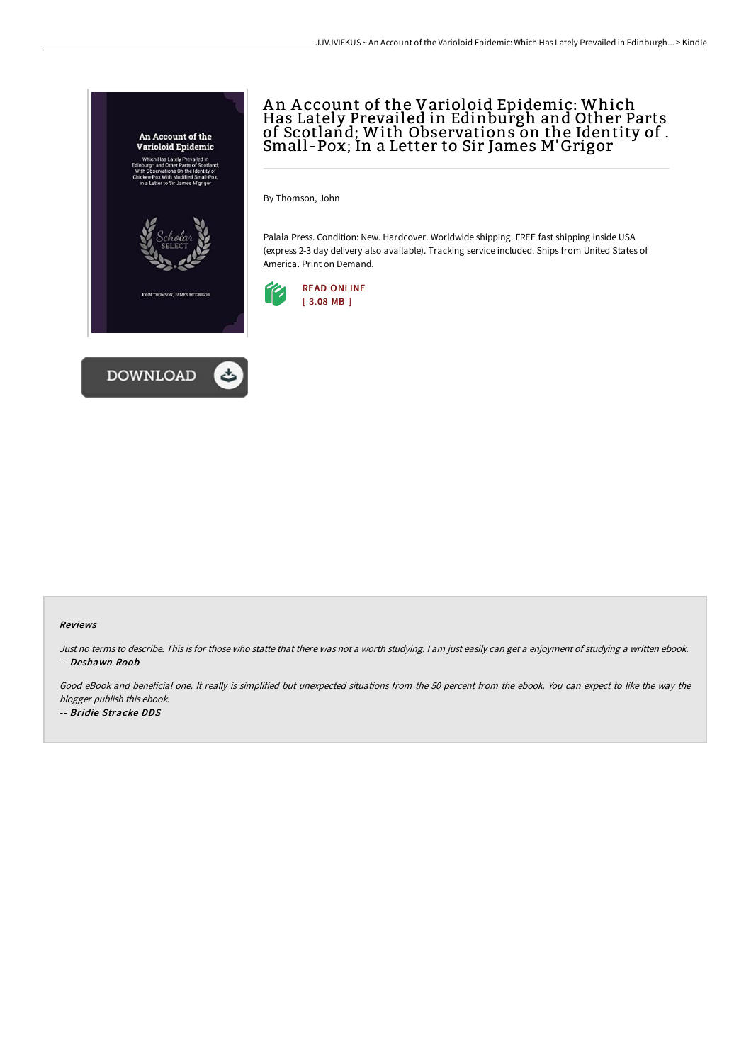



# A n A ccount of the Varioloid Epidemic: Which Has Lately Prevailed in Edinburgh and Other Parts of Scotland; With Observations on the Identity of . Small -Pox; In a Letter to Sir James M'Grigor

By Thomson, John

Palala Press. Condition: New. Hardcover. Worldwide shipping. FREE fast shipping inside USA (express 2-3 day delivery also available). Tracking service included. Ships from United States of America. Print on Demand.



### Reviews

Just no terms to describe. This is for those who statte that there was not <sup>a</sup> worth studying. <sup>I</sup> am just easily can get <sup>a</sup> enjoyment of studying <sup>a</sup> written ebook. -- Deshawn Roob

Good eBook and beneficial one. It really is simplified but unexpected situations from the 50 percent from the ebook. You can expect to like the way the blogger publish this ebook.

-- Bridie Stracke DDS